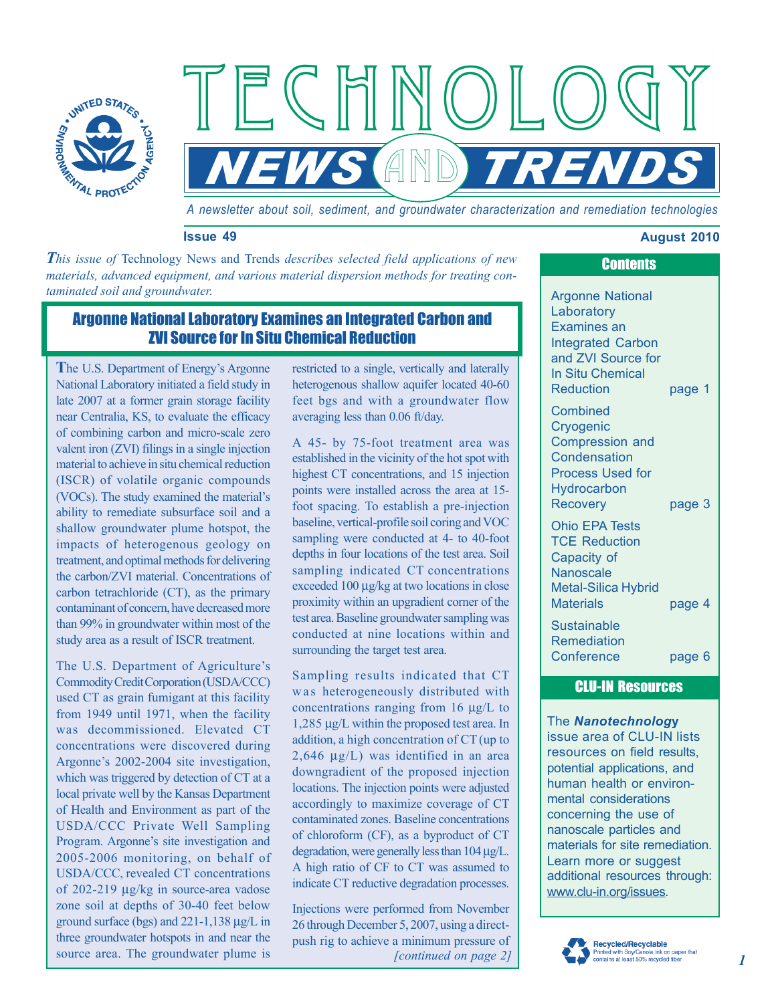

*A newsletter about soil, sediment, and groundwater characterization and remediation technologies* 

*NEWS AND TREND* 

ECHNOL

### **Issue 49 August 2010 August 2010**

*This issue of Technology News and Trends <i>describes selected field applications of new materials, advanced equipment, and various material dispersion methods for treating contaminated soil and groundwater.* **Argonne National** 

# Argonne National Laboratory Examines an Integrated Carbon and ZVI Source for In Situ Chemical Reduction

**T**he U.S. Department of Energy's Argonne National Laboratory initiated a field study in late 2007 at a former grain storage facility near Centralia, KS, to evaluate the efficacy of combining carbon and micro-scale zero valent iron (ZVI) filings in a single injection material to achieve in situ chemical reduction (ISCR) of volatile organic compounds (VOCs). The study examined the material's ability to remediate subsurface soil and a shallow groundwater plume hotspot, the impacts of heterogenous geology on treatment, and optimal methods for delivering the carbon/ZVI material. Concentrations of carbon tetrachloride (CT), as the primary contaminant of concern, have decreased more than 99% in groundwater within most of the study area as a result of ISCR treatment.

The U.S. Department of Agriculture's Commodity Credit Corporation (USDA/CCC) used CT as grain fumigant at this facility from 1949 until 1971, when the facility was decommissioned. Elevated CT concentrations were discovered during Argonne's 2002-2004 site investigation, which was triggered by detection of CT at a local private well by the Kansas Department of Health and Environment as part of the USDA/CCC Private Well Sampling Program. Argonne's site investigation and 2005-2006 monitoring, on behalf of USDA/CCC, revealed CT concentrations of 202-219 μg/kg in source-area vadose zone soil at depths of 30-40 feet below ground surface (bgs) and 221-1,138 μg/L in three groundwater hotspots in and near the source area. The groundwater plume is

restricted to a single, vertically and laterally heterogenous shallow aquifer located 40-60 feet bgs and with a groundwater flow averaging less than 0.06 ft/day.

A 45- by 75-foot treatment area was established in the vicinity of the hot spot with highest CT concentrations, and 15 injection points were installed across the area at 15 foot spacing. To establish a pre-injection baseline, vertical-profile soil coring and VOC sampling were conducted at 4- to 40-foot depths in four locations of the test area. Soil sampling indicated CT concentrations exceeded 100 μg/kg at two locations in close proximity within an upgradient corner of the test area. Baseline groundwater sampling was conducted at nine locations within and surrounding the target test area.

Sampling results indicated that CT was heterogeneously distributed with concentrations ranging from 16 μg/L to 1,285 μg/L within the proposed test area. In addition, a high concentration of CT (up to 2,646 μg/L) was identified in an area downgradient of the proposed injection locations. The injection points were adjusted accordingly to maximize coverage of CT contaminated zones. Baseline concentrations of chloroform (CF), as a byproduct of CT degradation, were generally less than 104 μg/L. A high ratio of CF to CT was assumed to indicate CT reductive degradation processes.

 push rig to achieve a minimum pressure of *[continued on page 2]*  Injections were performed from November 26 through December 5, 2007, using a direct-

# **Laboratory** Examines an Integrated Carbon and ZVI Source for

**Contents** 

Reduction page 1

**Combined Cryogenic** Compression and **Condensation** Process Used for **Hydrocarbon** Recovery page 3

In Situ Chemical

Ohio EPA Tests TCE Reduction Capacity of **Nanoscale** Metal-Silica Hybrid Materials page 4

Sustainable **Remediation** Conference page 6

## CLU-IN Resources

### The *Nanotechnolog***y**

issue area of CLU-IN lists resources on field results, potential applications, and human health or environmental considerations concerning the use of nanoscale particles and materials for site remediation. Learn more or suggest additional resources through: www.clu-in.org/issues.

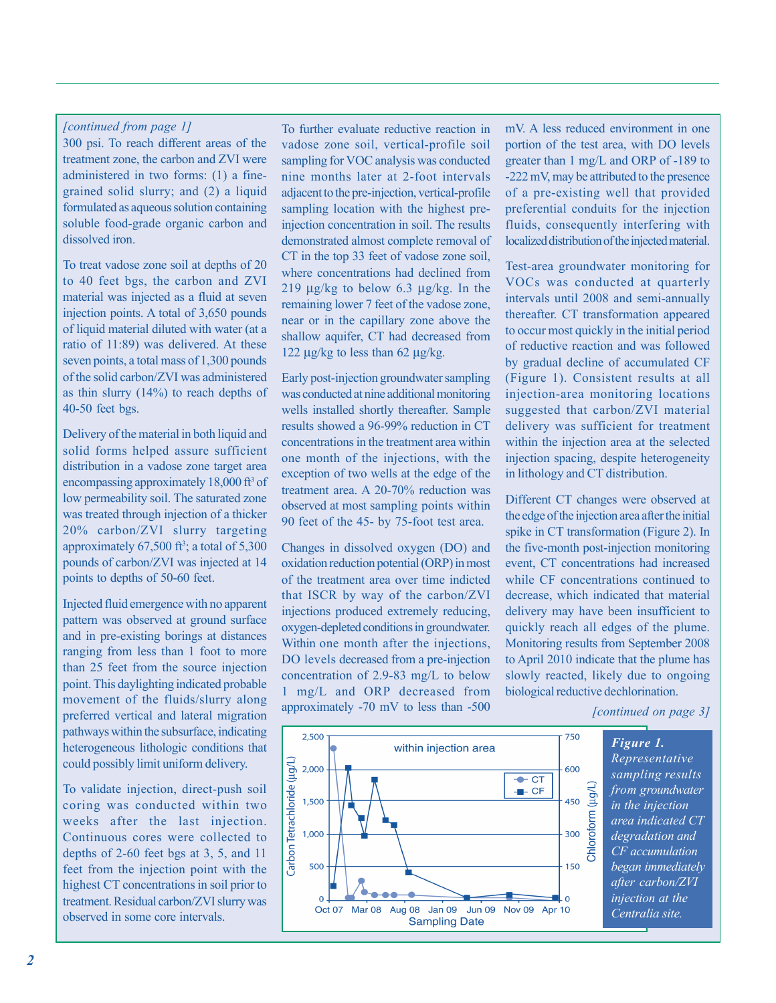## *[continued from page 1]*

300 psi. To reach different areas of the treatment zone, the carbon and ZVI were administered in two forms: (1) a finegrained solid slurry; and (2) a liquid formulated as aqueous solution containing soluble food-grade organic carbon and dissolved iron.

To treat vadose zone soil at depths of 20 to 40 feet bgs, the carbon and ZVI material was injected as a fluid at seven injection points. A total of 3,650 pounds of liquid material diluted with water (at a ratio of 11:89) was delivered. At these seven points, a total mass of 1,300 pounds of the solid carbon/ZVI was administered as thin slurry (14%) to reach depths of 40-50 feet bgs.

Delivery of the material in both liquid and solid forms helped assure sufficient distribution in a vadose zone target area encompassing approximately 18,000 ft<sup>3</sup> of low permeability soil. The saturated zone was treated through injection of a thicker 20% carbon/ZVI slurry targeting approximately  $67,500$  ft<sup>3</sup>; a total of  $5,300$ pounds of carbon/ZVI was injected at 14 points to depths of 50-60 feet.

Injected fluid emergence with no apparent pattern was observed at ground surface and in pre-existing borings at distances ranging from less than 1 foot to more than 25 feet from the source injection point. This daylighting indicated probable movement of the fluids/slurry along preferred vertical and lateral migration pathways within the subsurface, indicating heterogeneous lithologic conditions that could possibly limit uniform delivery.

To validate injection, direct-push soil coring was conducted within two weeks after the last injection. Continuous cores were collected to depths of 2-60 feet bgs at 3, 5, and 11 feet from the injection point with the highest CT concentrations in soil prior to treatment. Residual carbon/ZVI slurry was observed in some core intervals.

To further evaluate reductive reaction in vadose zone soil, vertical-profile soil sampling for VOC analysis was conducted nine months later at 2-foot intervals adjacent to the pre-injection, vertical-profile sampling location with the highest preinjection concentration in soil. The results demonstrated almost complete removal of CT in the top 33 feet of vadose zone soil, where concentrations had declined from 219 μg/kg to below 6.3 μg/kg. In the remaining lower 7 feet of the vadose zone, near or in the capillary zone above the shallow aquifer, CT had decreased from 122 μg/kg to less than 62 μg/kg.

Early post-injection groundwater sampling was conducted at nine additional monitoring wells installed shortly thereafter. Sample results showed a 96-99% reduction in CT concentrations in the treatment area within one month of the injections, with the exception of two wells at the edge of the treatment area. A 20-70% reduction was observed at most sampling points within 90 feet of the 45- by 75-foot test area.

Changes in dissolved oxygen (DO) and oxidation reduction potential (ORP) in most of the treatment area over time indicted that ISCR by way of the carbon/ZVI injections produced extremely reducing, oxygen-depleted conditions in groundwater. Within one month after the injections, DO levels decreased from a pre-injection concentration of 2.9-83 mg/L to below 1 mg/L and ORP decreased from approximately -70 mV to less than -500

mV. A less reduced environment in one portion of the test area, with DO levels greater than 1 mg/L and ORP of -189 to -222 mV, may be attributed to the presence of a pre-existing well that provided preferential conduits for the injection fluids, consequently interfering with localized distribution of the injected material.

Test-area groundwater monitoring for VOCs was conducted at quarterly intervals until 2008 and semi-annually thereafter. CT transformation appeared to occur most quickly in the initial period of reductive reaction and was followed by gradual decline of accumulated CF (Figure 1). Consistent results at all injection-area monitoring locations suggested that carbon/ZVI material delivery was sufficient for treatment within the injection area at the selected injection spacing, despite heterogeneity in lithology and CT distribution.

Different CT changes were observed at the edge of the injection area after the initial spike in CT transformation (Figure 2). In the five-month post-injection monitoring event, CT concentrations had increased while CF concentrations continued to decrease, which indicated that material delivery may have been insufficient to quickly reach all edges of the plume. Monitoring results from September 2008 to April 2010 indicate that the plume has slowly reacted, likely due to ongoing biological reductive dechlorination.

*[continued on page 3]* 



*Representative sampling results from groundwater in the injection area indicated CT degradation and CF accumulation began immediately after carbon/ZVI injection at the Centralia site.*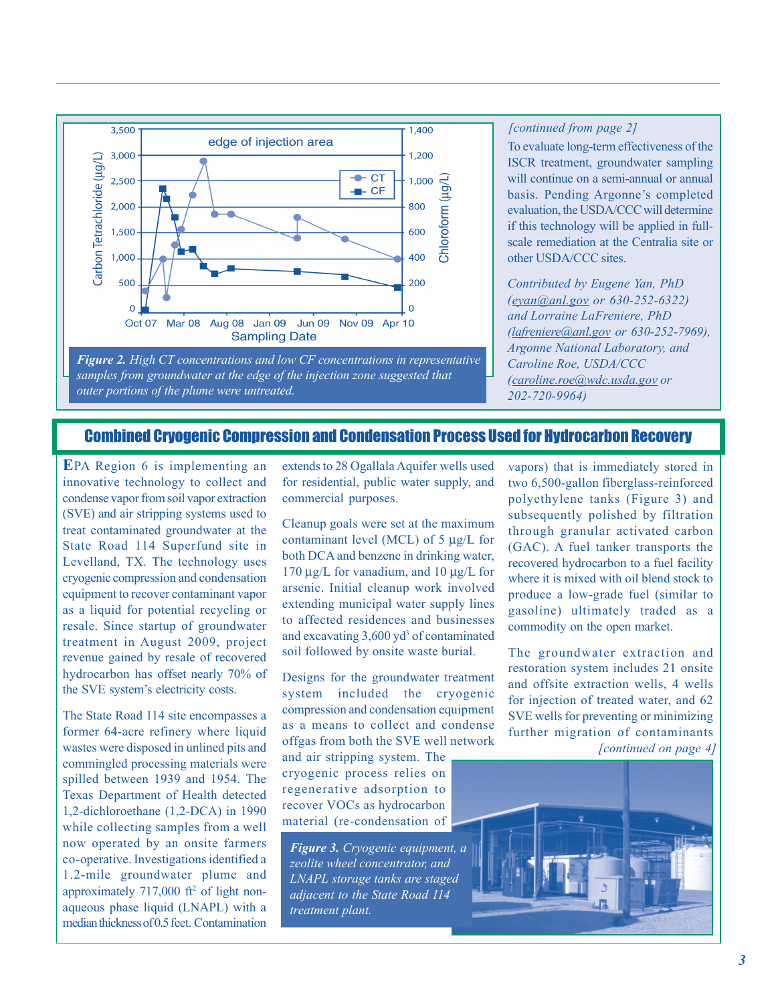

*samples from groundwater at the edge of the injection zone suggested that outer portions of the plume were untreated.* 

### *[continued from page 2]*

To evaluate long-term effectiveness of the ISCR treatment, groundwater sampling will continue on a semi-annual or annual basis. Pending Argonne's completed evaluation, the USDA/CCC will determine if this technology will be applied in fullscale remediation at the Centralia site or other USDA/CCC sites.

*Contributed by Eugene Yan, PhD [\(eyan@anl.gov](mailto:eyan@anl.gov) or 630-252-6322) and Lorraine LaFreniere, PhD [\(lafreniere@anl.gov](mailto:lafreniere@anl.gov) or 630-252-7969), Argonne National Laboratory, and Caroline Roe, USDA/CCC [\(caroline.roe@wdc.usda.gov](mailto:caroline.roe@wdc.usda.gov) or 202-720-9964)* 

## Combined Cryogenic Compression and Condensation Process Used for Hydrocarbon Recovery

**E**PA Region 6 is implementing an innovative technology to collect and condense vapor from soil vapor extraction (SVE) and air stripping systems used to treat contaminated groundwater at the State Road 114 Superfund site in Levelland, TX. The technology uses cryogenic compression and condensation equipment to recover contaminant vapor as a liquid for potential recycling or resale. Since startup of groundwater treatment in August 2009, project revenue gained by resale of recovered hydrocarbon has offset nearly 70% of the SVE system's electricity costs.

The State Road 114 site encompasses a former 64-acre refinery where liquid wastes were disposed in unlined pits and commingled processing materials were spilled between 1939 and 1954. The Texas Department of Health detected 1,2-dichloroethane (1,2-DCA) in 1990 while collecting samples from a well now operated by an onsite farmers co-operative. Investigations identified a 1.2-mile groundwater plume and approximately  $717,000$  ft<sup>2</sup> of light nonaqueous phase liquid (LNAPL) with a median thickness of 0.5 feet. Contamination

extends to 28 Ogallala Aquifer wells used for residential, public water supply, and commercial purposes.

Cleanup goals were set at the maximum contaminant level (MCL) of 5 μg/L for both DCA and benzene in drinking water, 170 μg/L for vanadium, and 10 μg/L for arsenic. Initial cleanup work involved extending municipal water supply lines to affected residences and businesses and excavating 3,600 yd<sup>3</sup> of contaminated soil followed by onsite waste burial.

Designs for the groundwater treatment system included the cryogenic compression and condensation equipment as a means to collect and condense offgas from both the SVE well network

and air stripping system. The cryogenic process relies on regenerative adsorption to recover VOCs as hydrocarbon material (re-condensation of

*Figure 3. Cryogenic equipment, a zeolite wheel concentrator, and LNAPL storage tanks are staged adjacent to the State Road 114 treatment plant.* 

vapors) that is immediately stored in two 6,500-gallon fiberglass-reinforced polyethylene tanks (Figure 3) and subsequently polished by filtration through granular activated carbon (GAC). A fuel tanker transports the recovered hydrocarbon to a fuel facility where it is mixed with oil blend stock to produce a low-grade fuel (similar to gasoline) ultimately traded as a commodity on the open market.

*[continued on page 4]*  The groundwater extraction and restoration system includes 21 onsite and offsite extraction wells, 4 wells for injection of treated water, and 62 SVE wells for preventing or minimizing further migration of contaminants

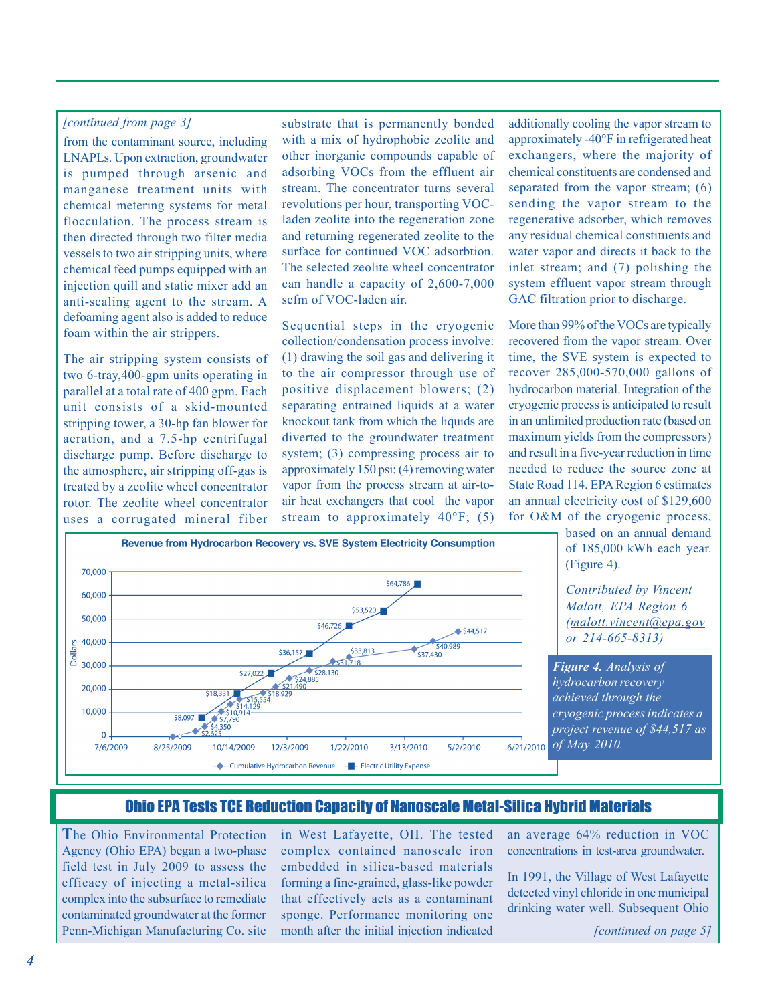### *[continued from page 3]*

from the contaminant source, including LNAPLs. Upon extraction, groundwater is pumped through arsenic and manganese treatment units with chemical metering systems for metal flocculation. The process stream is then directed through two filter media vessels to two air stripping units, where chemical feed pumps equipped with an injection quill and static mixer add an anti-scaling agent to the stream. A defoaming agent also is added to reduce foam within the air strippers.

The air stripping system consists of two 6-tray,400-gpm units operating in parallel at a total rate of 400 gpm. Each unit consists of a skid-mounted stripping tower, a 30-hp fan blower for aeration, and a 7.5-hp centrifugal discharge pump. Before discharge to the atmosphere, air stripping off-gas is treated by a zeolite wheel concentrator rotor. The zeolite wheel concentrator uses a corrugated mineral fiber substrate that is permanently bonded with a mix of hydrophobic zeolite and other inorganic compounds capable of adsorbing VOCs from the effluent air stream. The concentrator turns several revolutions per hour, transporting VOCladen zeolite into the regeneration zone and returning regenerated zeolite to the surface for continued VOC adsorbtion. The selected zeolite wheel concentrator can handle a capacity of 2,600-7,000 scfm of VOC-laden air.

Sequential steps in the cryogenic collection/condensation process involve: (1) drawing the soil gas and delivering it to the air compressor through use of positive displacement blowers; (2) separating entrained liquids at a water knockout tank from which the liquids are diverted to the groundwater treatment system; (3) compressing process air to approximately 150 psi; (4) removing water vapor from the process stream at air-toair heat exchangers that cool the vapor stream to approximately  $40^{\circ}$ F; (5) additionally cooling the vapor stream to approximately -40°F in refrigerated heat exchangers, where the majority of chemical constituents are condensed and separated from the vapor stream; (6) sending the vapor stream to the regenerative adsorber, which removes any residual chemical constituents and water vapor and directs it back to the inlet stream; and (7) polishing the system effluent vapor stream through GAC filtration prior to discharge.

More than 99% of the VOCs are typically recovered from the vapor stream. Over time, the SVE system is expected to recover 285,000-570,000 gallons of hydrocarbon material. Integration of the cryogenic process is anticipated to result in an unlimited production rate (based on maximum yields from the compressors) and result in a five-year reduction in time needed to reduce the source zone at State Road 114. EPA Region 6 estimates an annual electricity cost of \$129,600 for O&M of the cryogenic process,



 based on an annual demand of 185,000 kWh each year. (Figure 4).

*Contributed by Vincent Malott, EPA Region 6 [\(malott.vincent@epa.gov](mailto:malott.vincent@epa.gov)  or 214-665-8313)* 

*Figure 4. Analysis of hydrocarbon recovery achieved through the cryogenic process indicates a project revenue of \$44,517 as* 

## Ohio EPA Tests TCE Reduction Capacity of Nanoscale Metal-Silica Hybrid Materials

**T**he Ohio Environmental Protection Agency (Ohio EPA) began a two-phase field test in July 2009 to assess the efficacy of injecting a metal-silica complex into the subsurface to remediate contaminated groundwater at the former Penn-Michigan Manufacturing Co. site

in West Lafayette, OH. The tested complex contained nanoscale iron embedded in silica-based materials forming a fine-grained, glass-like powder that effectively acts as a contaminant sponge. Performance monitoring one month after the initial injection indicated

an average 64% reduction in VOC concentrations in test-area groundwater.

In 1991, the Village of West Lafayette detected vinyl chloride in one municipal drinking water well. Subsequent Ohio

*[continued on page 5]*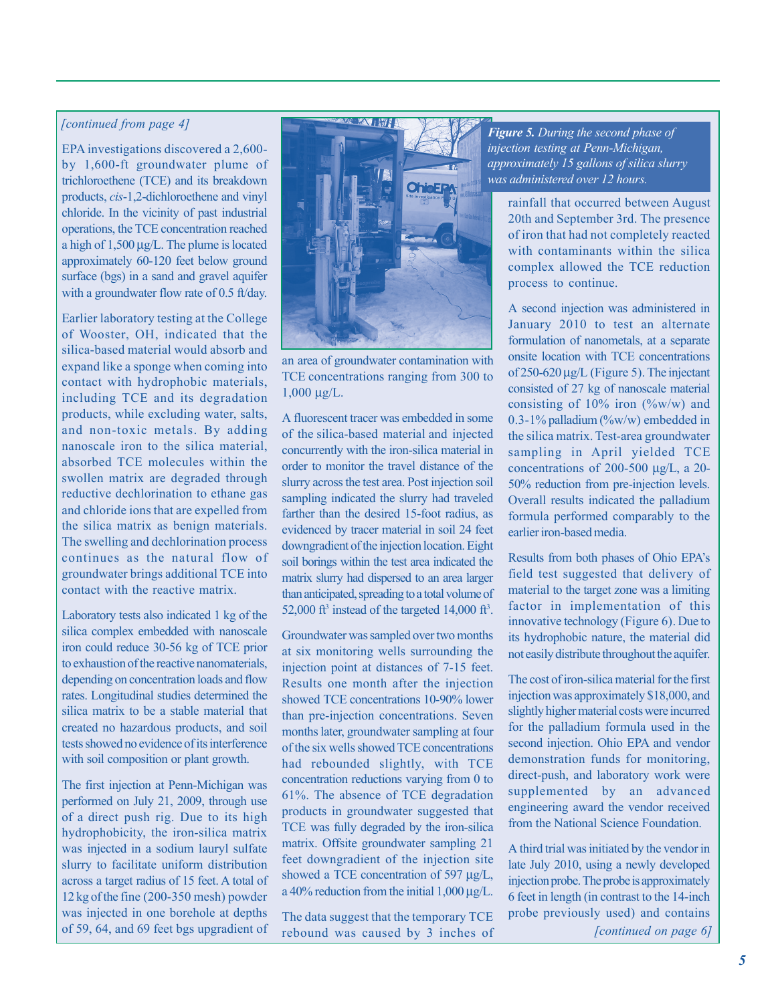## *[continued from page 4]*

EPA investigations discovered a 2,600 by 1,600-ft groundwater plume of trichloroethene (TCE) and its breakdown products, *cis*-1,2-dichloroethene and vinyl chloride. In the vicinity of past industrial operations, the TCE concentration reached a high of 1,500 μg/L. The plume is located approximately 60-120 feet below ground surface (bgs) in a sand and gravel aquifer with a groundwater flow rate of 0.5 ft/day.

Earlier laboratory testing at the College of Wooster, OH, indicated that the silica-based material would absorb and expand like a sponge when coming into contact with hydrophobic materials, including TCE and its degradation products, while excluding water, salts, and non-toxic metals. By adding nanoscale iron to the silica material, absorbed TCE molecules within the swollen matrix are degraded through reductive dechlorination to ethane gas and chloride ions that are expelled from the silica matrix as benign materials. The swelling and dechlorination process continues as the natural flow of groundwater brings additional TCE into contact with the reactive matrix.

Laboratory tests also indicated 1 kg of the silica complex embedded with nanoscale iron could reduce 30-56 kg of TCE prior to exhaustion of the reactive nanomaterials, depending on concentration loads and flow rates. Longitudinal studies determined the silica matrix to be a stable material that created no hazardous products, and soil tests showed no evidence of its interference with soil composition or plant growth.

 of a direct push rig. Due to its high was injected in a sodium lauryl sulfate 12 kg of the fine (200-350 mesh) powder The first injection at Penn-Michigan was performed on July 21, 2009, through use hydrophobicity, the iron-silica matrix slurry to facilitate uniform distribution across a target radius of 15 feet. A total of was injected in one borehole at depths of 59, 64, and 69 feet bgs upgradient of



an area of groundwater contamination with TCE concentrations ranging from 300 to  $1,000 \mu g/L$ .

A fluorescent tracer was embedded in some of the silica-based material and injected concurrently with the iron-silica material in order to monitor the travel distance of the slurry across the test area. Post injection soil sampling indicated the slurry had traveled farther than the desired 15-foot radius, as evidenced by tracer material in soil 24 feet downgradient of the injection location. Eight soil borings within the test area indicated the matrix slurry had dispersed to an area larger than anticipated, spreading to a total volume of 52,000 ft<sup>3</sup> instead of the targeted 14,000 ft<sup>3</sup>.

Groundwater was sampled over two months at six monitoring wells surrounding the injection point at distances of 7-15 feet. Results one month after the injection showed TCE concentrations 10-90% lower than pre-injection concentrations. Seven months later, groundwater sampling at four of the six wells showed TCE concentrations had rebounded slightly, with TCE concentration reductions varying from 0 to 61%. The absence of TCE degradation products in groundwater suggested that TCE was fully degraded by the iron-silica matrix. Offsite groundwater sampling 21 feet downgradient of the injection site showed a TCE concentration of 597 μg/L, a 40% reduction from the initial 1,000 μg/L.

The data suggest that the temporary TCE rebound was caused by 3 inches of

*Figure 5. During the second phase of injection testing at Penn-Michigan, approximately 15 gallons of silica slurry was administered over 12 hours.* 

rainfall that occurred between August 20th and September 3rd. The presence of iron that had not completely reacted with contaminants within the silica complex allowed the TCE reduction process to continue.

A second injection was administered in January 2010 to test an alternate formulation of nanometals, at a separate onsite location with TCE concentrations of 250-620 μg/L (Figure 5). The injectant consisted of 27 kg of nanoscale material consisting of  $10\%$  iron (%w/w) and 0.3-1% palladium  $(\%w/w)$  embedded in the silica matrix. Test-area groundwater sampling in April yielded TCE concentrations of 200-500 μg/L, a 20 50% reduction from pre-injection levels. Overall results indicated the palladium formula performed comparably to the earlier iron-based media.

Results from both phases of Ohio EPA's field test suggested that delivery of material to the target zone was a limiting factor in implementation of this innovative technology (Figure 6). Due to its hydrophobic nature, the material did not easily distribute throughout the aquifer.

The cost of iron-silica material for the first injection was approximately \$18,000, and slightly higher material costs were incurred for the palladium formula used in the second injection. Ohio EPA and vendor demonstration funds for monitoring, direct-push, and laboratory work were supplemented by an advanced engineering award the vendor received from the National Science Foundation.

A third trial was initiated by the vendor in late July 2010, using a newly developed injection probe. The probe is approximately 6 feet in length (in contrast to the 14-inch probe previously used) and contains

*[continued on page 6]*